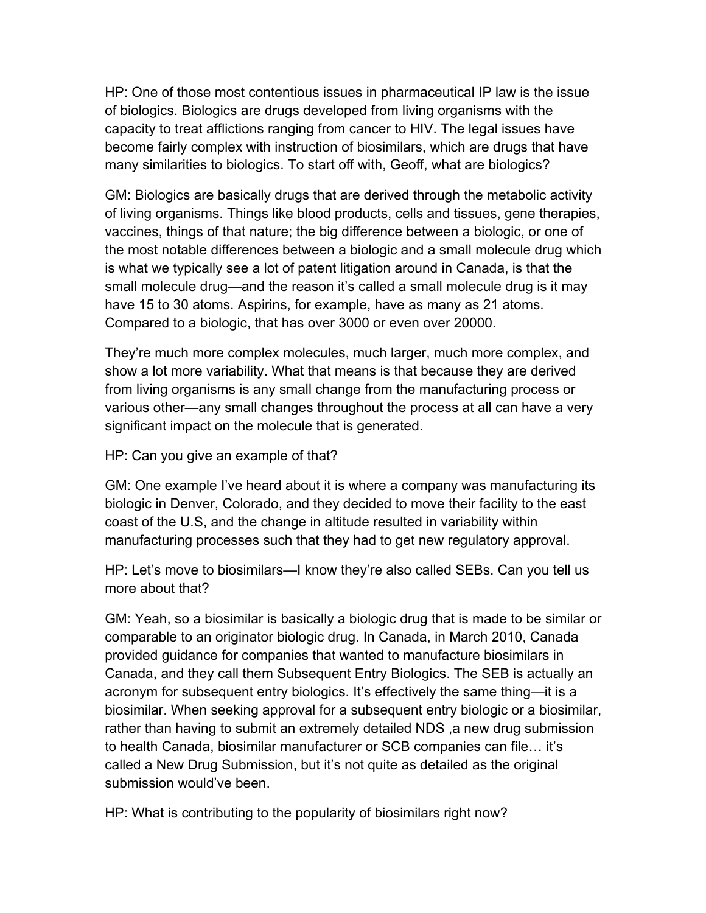HP: One of those most contentious issues in pharmaceutical IP law is the issue of biologics. Biologics are drugs developed from living organisms with the capacity to treat afflictions ranging from cancer to HIV. The legal issues have become fairly complex with instruction of biosimilars, which are drugs that have many similarities to biologics. To start off with, Geoff, what are biologics?

GM: Biologics are basically drugs that are derived through the metabolic activity of living organisms. Things like blood products, cells and tissues, gene therapies, vaccines, things of that nature; the big difference between a biologic, or one of the most notable differences between a biologic and a small molecule drug which is what we typically see a lot of patent litigation around in Canada, is that the small molecule drug—and the reason it's called a small molecule drug is it may have 15 to 30 atoms. Aspirins, for example, have as many as 21 atoms. Compared to a biologic, that has over 3000 or even over 20000.

They're much more complex molecules, much larger, much more complex, and show a lot more variability. What that means is that because they are derived from living organisms is any small change from the manufacturing process or various other—any small changes throughout the process at all can have a very significant impact on the molecule that is generated.

HP: Can you give an example of that?

GM: One example I've heard about it is where a company was manufacturing its biologic in Denver, Colorado, and they decided to move their facility to the east coast of the U.S, and the change in altitude resulted in variability within manufacturing processes such that they had to get new regulatory approval.

HP: Let's move to biosimilars—I know they're also called SEBs. Can you tell us more about that?

GM: Yeah, so a biosimilar is basically a biologic drug that is made to be similar or comparable to an originator biologic drug. In Canada, in March 2010, Canada provided guidance for companies that wanted to manufacture biosimilars in Canada, and they call them Subsequent Entry Biologics. The SEB is actually an acronym for subsequent entry biologics. It's effectively the same thing—it is a biosimilar. When seeking approval for a subsequent entry biologic or a biosimilar, rather than having to submit an extremely detailed NDS ,a new drug submission to health Canada, biosimilar manufacturer or SCB companies can file… it's called a New Drug Submission, but it's not quite as detailed as the original submission would've been.

HP: What is contributing to the popularity of biosimilars right now?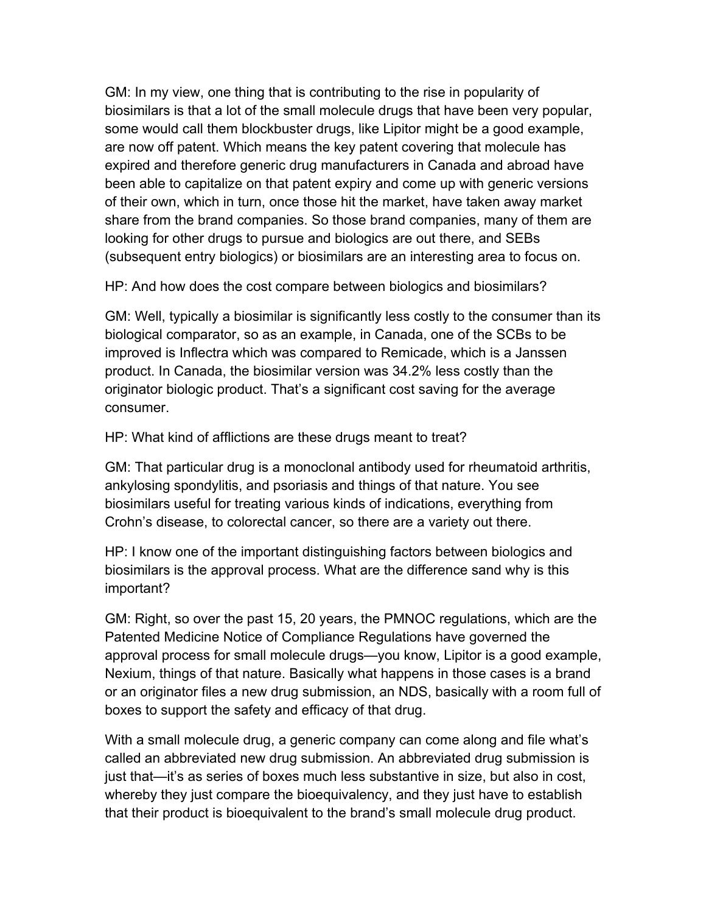GM: In my view, one thing that is contributing to the rise in popularity of biosimilars is that a lot of the small molecule drugs that have been very popular, some would call them blockbuster drugs, like Lipitor might be a good example, are now off patent. Which means the key patent covering that molecule has expired and therefore generic drug manufacturers in Canada and abroad have been able to capitalize on that patent expiry and come up with generic versions of their own, which in turn, once those hit the market, have taken away market share from the brand companies. So those brand companies, many of them are looking for other drugs to pursue and biologics are out there, and SEBs (subsequent entry biologics) or biosimilars are an interesting area to focus on.

HP: And how does the cost compare between biologics and biosimilars?

GM: Well, typically a biosimilar is significantly less costly to the consumer than its biological comparator, so as an example, in Canada, one of the SCBs to be improved is Inflectra which was compared to Remicade, which is a Janssen product. In Canada, the biosimilar version was 34.2% less costly than the originator biologic product. That's a significant cost saving for the average consumer.

HP: What kind of afflictions are these drugs meant to treat?

GM: That particular drug is a monoclonal antibody used for rheumatoid arthritis, ankylosing spondylitis, and psoriasis and things of that nature. You see biosimilars useful for treating various kinds of indications, everything from Crohn's disease, to colorectal cancer, so there are a variety out there.

HP: I know one of the important distinguishing factors between biologics and biosimilars is the approval process. What are the difference sand why is this important?

GM: Right, so over the past 15, 20 years, the PMNOC regulations, which are the Patented Medicine Notice of Compliance Regulations have governed the approval process for small molecule drugs—you know, Lipitor is a good example, Nexium, things of that nature. Basically what happens in those cases is a brand or an originator files a new drug submission, an NDS, basically with a room full of boxes to support the safety and efficacy of that drug.

With a small molecule drug, a generic company can come along and file what's called an abbreviated new drug submission. An abbreviated drug submission is just that—it's as series of boxes much less substantive in size, but also in cost, whereby they just compare the bioequivalency, and they just have to establish that their product is bioequivalent to the brand's small molecule drug product.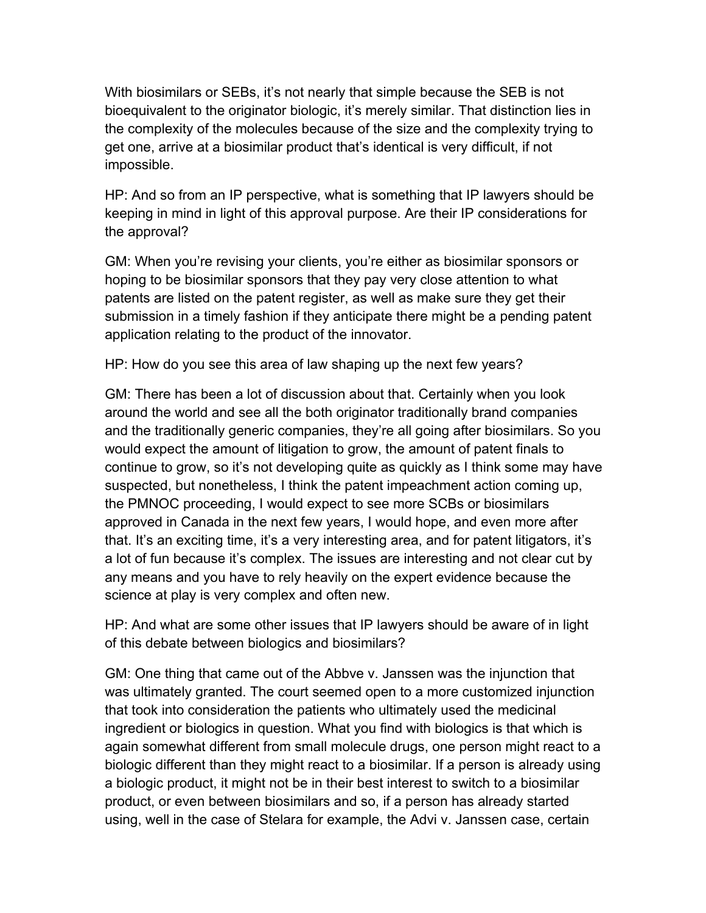With biosimilars or SEBs, it's not nearly that simple because the SEB is not bioequivalent to the originator biologic, it's merely similar. That distinction lies in the complexity of the molecules because of the size and the complexity trying to get one, arrive at a biosimilar product that's identical is very difficult, if not impossible.

HP: And so from an IP perspective, what is something that IP lawyers should be keeping in mind in light of this approval purpose. Are their IP considerations for the approval?

GM: When you're revising your clients, you're either as biosimilar sponsors or hoping to be biosimilar sponsors that they pay very close attention to what patents are listed on the patent register, as well as make sure they get their submission in a timely fashion if they anticipate there might be a pending patent application relating to the product of the innovator.

HP: How do you see this area of law shaping up the next few years?

GM: There has been a lot of discussion about that. Certainly when you look around the world and see all the both originator traditionally brand companies and the traditionally generic companies, they're all going after biosimilars. So you would expect the amount of litigation to grow, the amount of patent finals to continue to grow, so it's not developing quite as quickly as I think some may have suspected, but nonetheless, I think the patent impeachment action coming up, the PMNOC proceeding, I would expect to see more SCBs or biosimilars approved in Canada in the next few years, I would hope, and even more after that. It's an exciting time, it's a very interesting area, and for patent litigators, it's a lot of fun because it's complex. The issues are interesting and not clear cut by any means and you have to rely heavily on the expert evidence because the science at play is very complex and often new.

HP: And what are some other issues that IP lawyers should be aware of in light of this debate between biologics and biosimilars?

GM: One thing that came out of the Abbve v. Janssen was the injunction that was ultimately granted. The court seemed open to a more customized injunction that took into consideration the patients who ultimately used the medicinal ingredient or biologics in question. What you find with biologics is that which is again somewhat different from small molecule drugs, one person might react to a biologic different than they might react to a biosimilar. If a person is already using a biologic product, it might not be in their best interest to switch to a biosimilar product, or even between biosimilars and so, if a person has already started using, well in the case of Stelara for example, the Advi v. Janssen case, certain